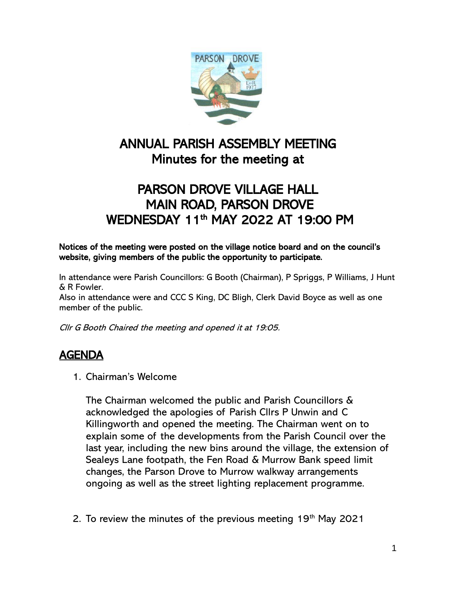

## $\overline{a}$ ANNUAL PARISH ASSEMBLY MEETING Minutes for the meeting at

## PARSON DROVE VILLAGE HALL MAIN ROAD, PARSON DROVE WEDNESDAY 11<sup>th</sup> MAY 2022 AT 19:00 PM

Notices of the meeting were posted on the village notice board and on the council's website, giving members of the public the opportunity to participate.

In attendance were Parish Councillors: G Booth (Chairman), P Spriggs, P Williams, J Hunt & R Fowler.

Also in attendance were and CCC S King, DC Bligh, Clerk David Boyce as well as one member of the public.

Cllr G Booth Chaired the meeting and opened it at 19:05.

## AGENDA

1. Chairman's Welcome

The Chairman welcomed the public and Parish Councillors & acknowledged the apologies of Parish Cllrs P Unwin and C Killingworth and opened the meeting. The Chairman went on to explain some of the developments from the Parish Council over the last year, including the new bins around the village, the extension of Sealeys Lane footpath, the Fen Road & Murrow Bank speed limit changes, the Parson Drove to Murrow walkway arrangements ongoing as well as the street lighting replacement programme.

2. To review the minutes of the previous meeting  $19<sup>th</sup>$  May 2021